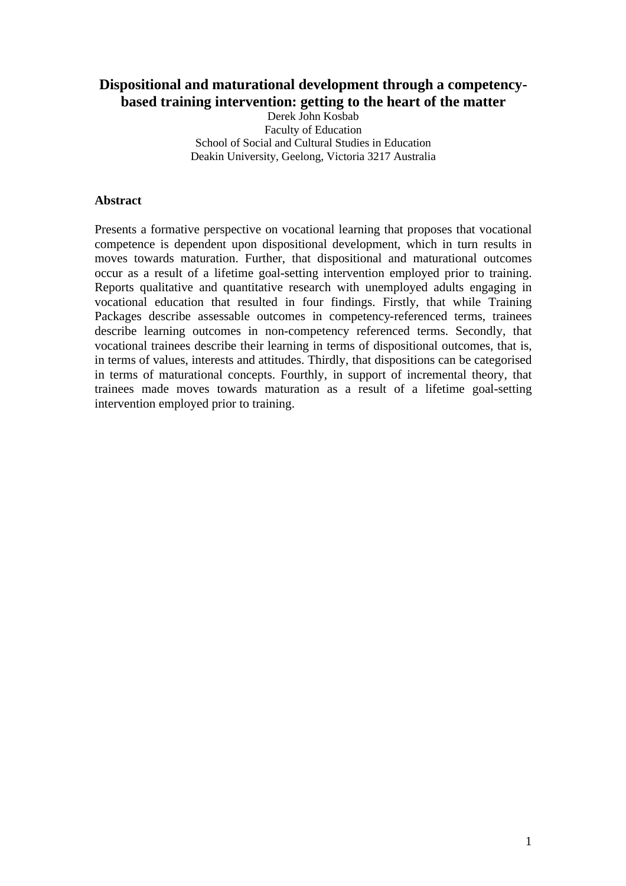# **Dispositional and maturational development through a competencybased training intervention: getting to the heart of the matter**

Derek John Kosbab Faculty of Education School of Social and Cultural Studies in Education Deakin University, Geelong, Victoria 3217 Australia

#### **Abstract**

Presents a formative perspective on vocational learning that proposes that vocational competence is dependent upon dispositional development, which in turn results in moves towards maturation. Further, that dispositional and maturational outcomes occur as a result of a lifetime goal-setting intervention employed prior to training. Reports qualitative and quantitative research with unemployed adults engaging in vocational education that resulted in four findings. Firstly, that while Training Packages describe assessable outcomes in competency-referenced terms, trainees describe learning outcomes in non-competency referenced terms. Secondly, that vocational trainees describe their learning in terms of dispositional outcomes, that is, in terms of values, interests and attitudes. Thirdly, that dispositions can be categorised in terms of maturational concepts. Fourthly, in support of incremental theory, that trainees made moves towards maturation as a result of a lifetime goal-setting intervention employed prior to training.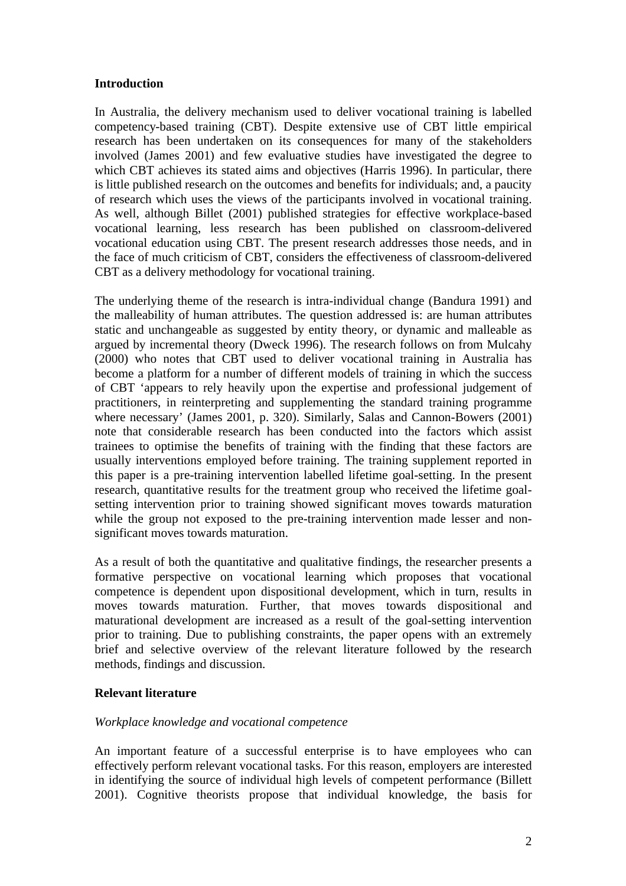#### **Introduction**

In Australia, the delivery mechanism used to deliver vocational training is labelled competency-based training (CBT). Despite extensive use of CBT little empirical research has been undertaken on its consequences for many of the stakeholders involved (James 2001) and few evaluative studies have investigated the degree to which CBT achieves its stated aims and objectives (Harris 1996). In particular, there is little published research on the outcomes and benefits for individuals; and, a paucity of research which uses the views of the participants involved in vocational training. As well, although Billet (2001) published strategies for effective workplace-based vocational learning, less research has been published on classroom-delivered vocational education using CBT. The present research addresses those needs, and in the face of much criticism of CBT, considers the effectiveness of classroom-delivered CBT as a delivery methodology for vocational training.

The underlying theme of the research is intra-individual change (Bandura 1991) and the malleability of human attributes. The question addressed is: are human attributes static and unchangeable as suggested by entity theory, or dynamic and malleable as argued by incremental theory (Dweck 1996). The research follows on from Mulcahy (2000) who notes that CBT used to deliver vocational training in Australia has become a platform for a number of different models of training in which the success of CBT 'appears to rely heavily upon the expertise and professional judgement of practitioners, in reinterpreting and supplementing the standard training programme where necessary' (James 2001, p. 320). Similarly, Salas and Cannon-Bowers (2001) note that considerable research has been conducted into the factors which assist trainees to optimise the benefits of training with the finding that these factors are usually interventions employed before training. The training supplement reported in this paper is a pre-training intervention labelled lifetime goal-setting. In the present research, quantitative results for the treatment group who received the lifetime goalsetting intervention prior to training showed significant moves towards maturation while the group not exposed to the pre-training intervention made lesser and nonsignificant moves towards maturation.

As a result of both the quantitative and qualitative findings, the researcher presents a formative perspective on vocational learning which proposes that vocational competence is dependent upon dispositional development, which in turn, results in moves towards maturation. Further, that moves towards dispositional and maturational development are increased as a result of the goal-setting intervention prior to training. Due to publishing constraints, the paper opens with an extremely brief and selective overview of the relevant literature followed by the research methods, findings and discussion.

# **Relevant literature**

# *Workplace knowledge and vocational competence*

An important feature of a successful enterprise is to have employees who can effectively perform relevant vocational tasks. For this reason, employers are interested in identifying the source of individual high levels of competent performance (Billett 2001). Cognitive theorists propose that individual knowledge, the basis for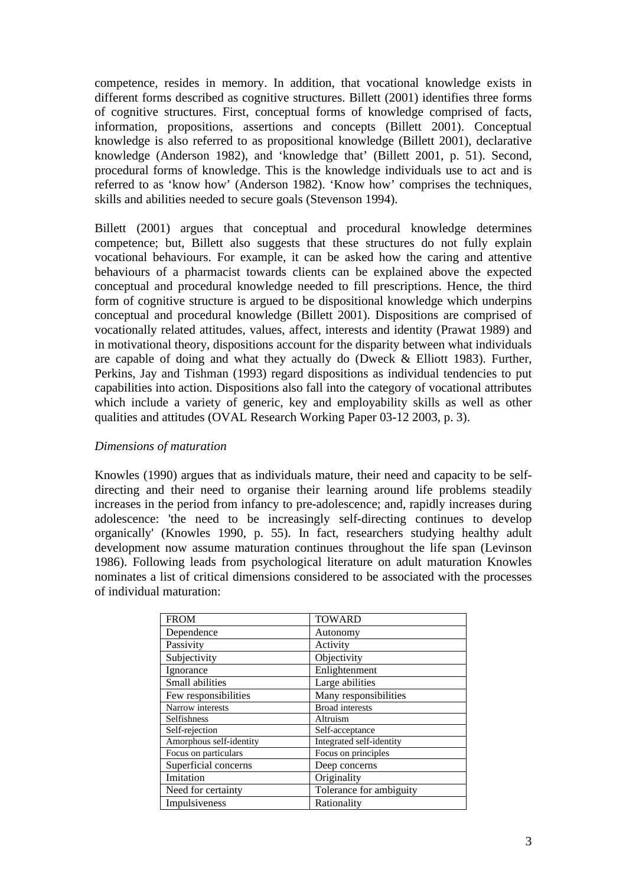competence, resides in memory. In addition, that vocational knowledge exists in different forms described as cognitive structures. Billett (2001) identifies three forms of cognitive structures. First, conceptual forms of knowledge comprised of facts, information, propositions, assertions and concepts (Billett 2001). Conceptual knowledge is also referred to as propositional knowledge (Billett 2001), declarative knowledge (Anderson 1982), and 'knowledge that' (Billett 2001, p. 51). Second, procedural forms of knowledge. This is the knowledge individuals use to act and is referred to as 'know how' (Anderson 1982). 'Know how' comprises the techniques, skills and abilities needed to secure goals (Stevenson 1994).

Billett (2001) argues that conceptual and procedural knowledge determines competence; but, Billett also suggests that these structures do not fully explain vocational behaviours. For example, it can be asked how the caring and attentive behaviours of a pharmacist towards clients can be explained above the expected conceptual and procedural knowledge needed to fill prescriptions. Hence, the third form of cognitive structure is argued to be dispositional knowledge which underpins conceptual and procedural knowledge (Billett 2001). Dispositions are comprised of vocationally related attitudes, values, affect, interests and identity (Prawat 1989) and in motivational theory, dispositions account for the disparity between what individuals are capable of doing and what they actually do (Dweck & Elliott 1983). Further, Perkins, Jay and Tishman (1993) regard dispositions as individual tendencies to put capabilities into action. Dispositions also fall into the category of vocational attributes which include a variety of generic, key and employability skills as well as other qualities and attitudes (OVAL Research Working Paper 03-12 2003, p. 3).

#### *Dimensions of maturation*

Knowles (1990) argues that as individuals mature, their need and capacity to be selfdirecting and their need to organise their learning around life problems steadily increases in the period from infancy to pre-adolescence; and, rapidly increases during adolescence: 'the need to be increasingly self-directing continues to develop organically' (Knowles 1990, p. 55). In fact, researchers studying healthy adult development now assume maturation continues throughout the life span (Levinson 1986). Following leads from psychological literature on adult maturation Knowles nominates a list of critical dimensions considered to be associated with the processes of individual maturation:

| <b>FROM</b>             | <b>TOWARD</b>            |  |
|-------------------------|--------------------------|--|
| Dependence              | Autonomy                 |  |
|                         |                          |  |
| Passivity               | Activity                 |  |
| Subjectivity            | Objectivity              |  |
| Ignorance               | Enlightenment            |  |
| Small abilities         | Large abilities          |  |
| Few responsibilities    | Many responsibilities    |  |
| Narrow interests        | <b>Broad</b> interests   |  |
| <b>Selfishness</b>      | Altruism                 |  |
| Self-rejection          | Self-acceptance          |  |
| Amorphous self-identity | Integrated self-identity |  |
| Focus on particulars    | Focus on principles      |  |
| Superficial concerns    | Deep concerns            |  |
| Imitation               | Originality              |  |
| Need for certainty      | Tolerance for ambiguity  |  |
| Impulsiveness           | Rationality              |  |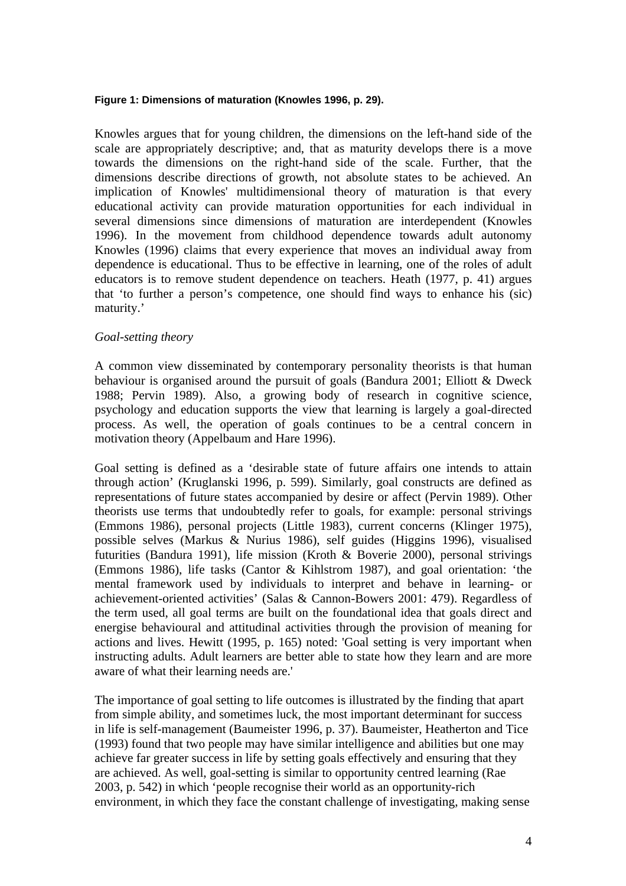#### **Figure 1: Dimensions of maturation (Knowles 1996, p. 29).**

Knowles argues that for young children, the dimensions on the left-hand side of the scale are appropriately descriptive; and, that as maturity develops there is a move towards the dimensions on the right-hand side of the scale. Further, that the dimensions describe directions of growth, not absolute states to be achieved. An implication of Knowles' multidimensional theory of maturation is that every educational activity can provide maturation opportunities for each individual in several dimensions since dimensions of maturation are interdependent (Knowles 1996). In the movement from childhood dependence towards adult autonomy Knowles (1996) claims that every experience that moves an individual away from dependence is educational. Thus to be effective in learning, one of the roles of adult educators is to remove student dependence on teachers. Heath (1977, p. 41) argues that 'to further a person's competence, one should find ways to enhance his (sic) maturity.'

#### *Goal-setting theory*

A common view disseminated by contemporary personality theorists is that human behaviour is organised around the pursuit of goals (Bandura 2001; Elliott & Dweck 1988; Pervin 1989). Also, a growing body of research in cognitive science, psychology and education supports the view that learning is largely a goal-directed process. As well, the operation of goals continues to be a central concern in motivation theory (Appelbaum and Hare 1996).

Goal setting is defined as a 'desirable state of future affairs one intends to attain through action' (Kruglanski 1996, p. 599). Similarly, goal constructs are defined as representations of future states accompanied by desire or affect (Pervin 1989). Other theorists use terms that undoubtedly refer to goals, for example: personal strivings (Emmons 1986), personal projects (Little 1983), current concerns (Klinger 1975), possible selves (Markus & Nurius 1986), self guides (Higgins 1996), visualised futurities (Bandura 1991), life mission (Kroth & Boverie 2000), personal strivings (Emmons 1986), life tasks (Cantor & Kihlstrom 1987), and goal orientation: 'the mental framework used by individuals to interpret and behave in learning- or achievement-oriented activities' (Salas & Cannon-Bowers 2001: 479). Regardless of the term used, all goal terms are built on the foundational idea that goals direct and energise behavioural and attitudinal activities through the provision of meaning for actions and lives. Hewitt (1995, p. 165) noted: 'Goal setting is very important when instructing adults. Adult learners are better able to state how they learn and are more aware of what their learning needs are.'

The importance of goal setting to life outcomes is illustrated by the finding that apart from simple ability, and sometimes luck, the most important determinant for success in life is self-management (Baumeister 1996, p. 37). Baumeister, Heatherton and Tice (1993) found that two people may have similar intelligence and abilities but one may achieve far greater success in life by setting goals effectively and ensuring that they are achieved. As well, goal-setting is similar to opportunity centred learning (Rae 2003, p. 542) in which 'people recognise their world as an opportunity-rich environment, in which they face the constant challenge of investigating, making sense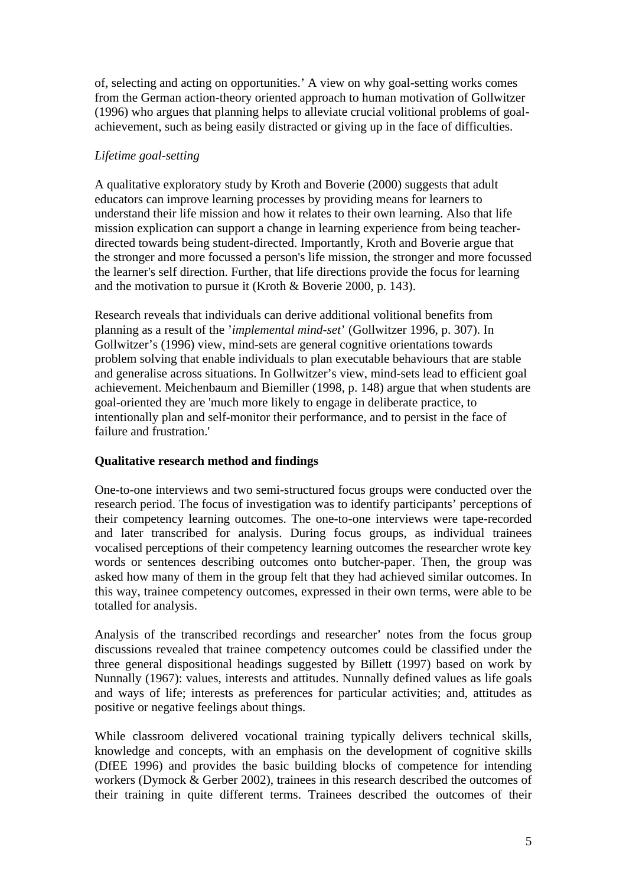of, selecting and acting on opportunities.' A view on why goal-setting works comes from the German action-theory oriented approach to human motivation of Gollwitzer (1996) who argues that planning helps to alleviate crucial volitional problems of goalachievement, such as being easily distracted or giving up in the face of difficulties.

### *Lifetime goal-setting*

A qualitative exploratory study by Kroth and Boverie (2000) suggests that adult educators can improve learning processes by providing means for learners to understand their life mission and how it relates to their own learning. Also that life mission explication can support a change in learning experience from being teacherdirected towards being student-directed. Importantly, Kroth and Boverie argue that the stronger and more focussed a person's life mission, the stronger and more focussed the learner's self direction. Further, that life directions provide the focus for learning and the motivation to pursue it (Kroth & Boverie 2000, p. 143).

Research reveals that individuals can derive additional volitional benefits from planning as a result of the '*implemental mind-set*' (Gollwitzer 1996, p. 307). In Gollwitzer's (1996) view, mind-sets are general cognitive orientations towards problem solving that enable individuals to plan executable behaviours that are stable and generalise across situations. In Gollwitzer's view, mind-sets lead to efficient goal achievement. Meichenbaum and Biemiller (1998, p. 148) argue that when students are goal-oriented they are 'much more likely to engage in deliberate practice, to intentionally plan and self-monitor their performance, and to persist in the face of failure and frustration.'

# **Qualitative research method and findings**

One-to-one interviews and two semi-structured focus groups were conducted over the research period. The focus of investigation was to identify participants' perceptions of their competency learning outcomes. The one-to-one interviews were tape-recorded and later transcribed for analysis. During focus groups, as individual trainees vocalised perceptions of their competency learning outcomes the researcher wrote key words or sentences describing outcomes onto butcher-paper. Then, the group was asked how many of them in the group felt that they had achieved similar outcomes. In this way, trainee competency outcomes, expressed in their own terms, were able to be totalled for analysis.

Analysis of the transcribed recordings and researcher' notes from the focus group discussions revealed that trainee competency outcomes could be classified under the three general dispositional headings suggested by Billett (1997) based on work by Nunnally (1967): values, interests and attitudes. Nunnally defined values as life goals and ways of life; interests as preferences for particular activities; and, attitudes as positive or negative feelings about things.

While classroom delivered vocational training typically delivers technical skills, knowledge and concepts, with an emphasis on the development of cognitive skills (DfEE 1996) and provides the basic building blocks of competence for intending workers (Dymock & Gerber 2002), trainees in this research described the outcomes of their training in quite different terms. Trainees described the outcomes of their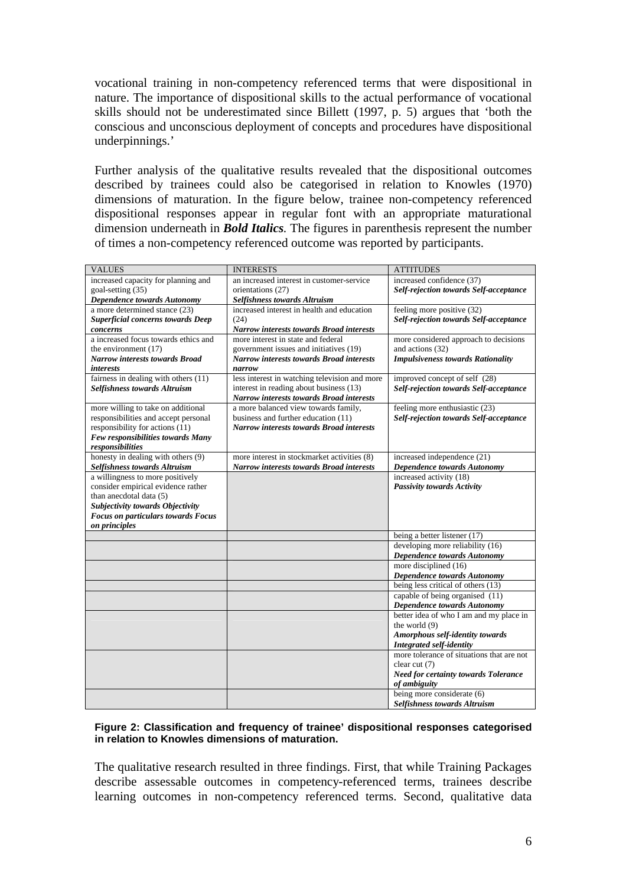vocational training in non-competency referenced terms that were dispositional in nature. The importance of dispositional skills to the actual performance of vocational skills should not be underestimated since Billett (1997, p. 5) argues that 'both the conscious and unconscious deployment of concepts and procedures have dispositional underpinnings.'

Further analysis of the qualitative results revealed that the dispositional outcomes described by trainees could also be categorised in relation to Knowles (1970) dimensions of maturation. In the figure below, trainee non-competency referenced dispositional responses appear in regular font with an appropriate maturational dimension underneath in *Bold Italics.* The figures in parenthesis represent the number of times a non-competency referenced outcome was reported by participants.

| <b>VALUES</b>                             | <b>INTERESTS</b>                                | <b>ATTITUDES</b>                              |
|-------------------------------------------|-------------------------------------------------|-----------------------------------------------|
| increased capacity for planning and       | an increased interest in customer-service       | increased confidence (37)                     |
| goal-setting (35)                         | orientations (27)                               | <b>Self-rejection towards Self-acceptance</b> |
| <b>Dependence towards Autonomy</b>        | <b>Selfishness towards Altruism</b>             |                                               |
| a more determined stance (23)             | increased interest in health and education      | feeling more positive (32)                    |
| <b>Superficial concerns towards Deep</b>  | (24)                                            | Self-rejection towards Self-acceptance        |
| concerns                                  | Narrow interests towards Broad interests        |                                               |
| a increased focus towards ethics and      | more interest in state and federal              | more considered approach to decisions         |
| the environment (17)                      | government issues and initiatives (19)          | and actions (32)                              |
| <b>Narrow interests towards Broad</b>     | <b>Narrow interests towards Broad interests</b> | <b>Impulsiveness towards Rationality</b>      |
| interests                                 | narrow                                          |                                               |
| fairness in dealing with others (11)      | less interest in watching television and more   | improved concept of self (28)                 |
| Selfishness towards Altruism              | interest in reading about business (13)         | <b>Self-rejection towards Self-acceptance</b> |
|                                           | Narrow interests towards Broad interests        |                                               |
| more willing to take on additional        | a more balanced view towards family,            | feeling more enthusiastic (23)                |
| responsibilities and accept personal      | business and further education (11)             | Self-rejection towards Self-acceptance        |
| responsibility for actions (11)           | <b>Narrow interests towards Broad interests</b> |                                               |
| Few responsibilities towards Many         |                                                 |                                               |
| responsibilities                          |                                                 |                                               |
| honesty in dealing with others (9)        | more interest in stockmarket activities (8)     | increased independence (21)                   |
| <b>Selfishness towards Altruism</b>       | <b>Narrow interests towards Broad interests</b> | Dependence towards Autonomy                   |
| a willingness to more positively          |                                                 | increased activity (18)                       |
| consider empirical evidence rather        |                                                 | Passivity towards Activity                    |
| than anecdotal data (5)                   |                                                 |                                               |
| <b>Subjectivity towards Objectivity</b>   |                                                 |                                               |
| <b>Focus on particulars towards Focus</b> |                                                 |                                               |
| on principles                             |                                                 | being a better listener (17)                  |
|                                           |                                                 | developing more reliability (16)              |
|                                           |                                                 |                                               |
|                                           |                                                 | <b>Dependence towards Autonomy</b>            |
|                                           |                                                 | more disciplined (16)                         |
|                                           |                                                 | <b>Dependence towards Autonomy</b>            |
|                                           |                                                 | being less critical of others (13)            |
|                                           |                                                 | capable of being organised (11)               |
|                                           |                                                 | Dependence towards Autonomy                   |
|                                           |                                                 | better idea of who I am and my place in       |
|                                           |                                                 | the world $(9)$                               |
|                                           |                                                 | Amorphous self-identity towards               |
|                                           |                                                 | <b>Integrated self-identity</b>               |
|                                           |                                                 | more tolerance of situations that are not     |
|                                           |                                                 | clear cut (7)                                 |
|                                           |                                                 | <b>Need for certainty towards Tolerance</b>   |
|                                           |                                                 | of ambiguity                                  |
|                                           |                                                 | being more considerate (6)                    |
|                                           |                                                 | <b>Selfishness towards Altruism</b>           |

#### **Figure 2: Classification and frequency of trainee' dispositional responses categorised in relation to Knowles dimensions of maturation.**

The qualitative research resulted in three findings. First, that while Training Packages describe assessable outcomes in competency-referenced terms, trainees describe learning outcomes in non-competency referenced terms. Second, qualitative data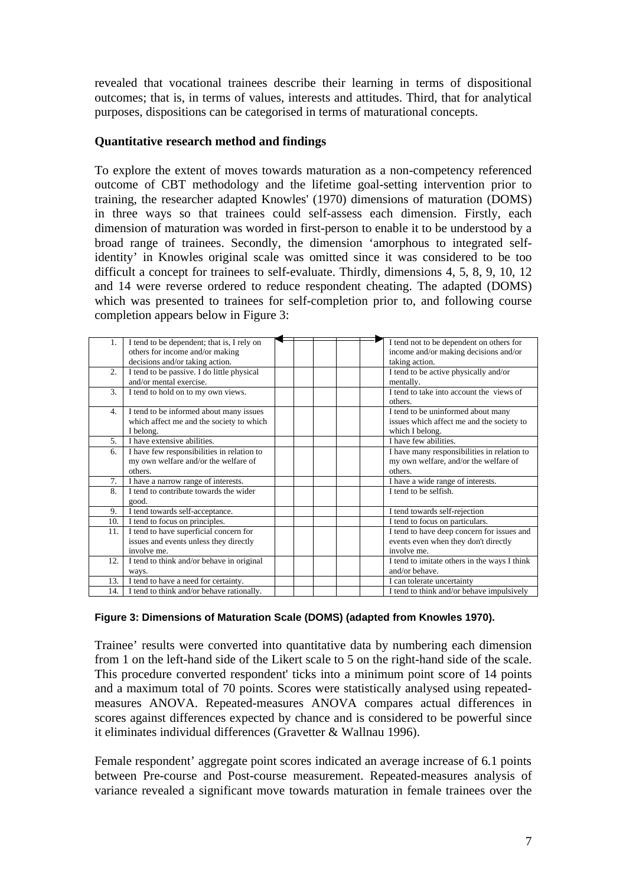revealed that vocational trainees describe their learning in terms of dispositional outcomes; that is, in terms of values, interests and attitudes. Third, that for analytical purposes, dispositions can be categorised in terms of maturational concepts.

### **Quantitative research method and findings**

To explore the extent of moves towards maturation as a non-competency referenced outcome of CBT methodology and the lifetime goal-setting intervention prior to training, the researcher adapted Knowles' (1970) dimensions of maturation (DOMS) in three ways so that trainees could self-assess each dimension. Firstly, each dimension of maturation was worded in first-person to enable it to be understood by a broad range of trainees. Secondly, the dimension 'amorphous to integrated selfidentity' in Knowles original scale was omitted since it was considered to be too difficult a concept for trainees to self-evaluate. Thirdly, dimensions 4, 5, 8, 9, 10, 12 and 14 were reverse ordered to reduce respondent cheating. The adapted (DOMS) which was presented to trainees for self-completion prior to, and following course completion appears below in Figure 3:

|     | I tend to be dependent; that is, I rely on | I tend not to be dependent on others for     |
|-----|--------------------------------------------|----------------------------------------------|
|     | others for income and/or making            | income and/or making decisions and/or        |
|     | decisions and/or taking action.            | taking action.                               |
| 2.  | I tend to be passive. I do little physical | I tend to be active physically and/or        |
|     | and/or mental exercise.                    | mentally.                                    |
| 3.  | I tend to hold on to my own views.         | I tend to take into account the views of     |
|     |                                            | others.                                      |
| 4.  | I tend to be informed about many issues    | I tend to be uninformed about many           |
|     | which affect me and the society to which   | issues which affect me and the society to    |
|     | I belong.                                  | which I belong.                              |
| 5.  | I have extensive abilities.                | I have few abilities.                        |
| 6.  | I have few responsibilities in relation to | I have many responsibilities in relation to  |
|     | my own welfare and/or the welfare of       | my own welfare, and/or the welfare of        |
|     | others.                                    | others.                                      |
| 7.  | I have a narrow range of interests.        | I have a wide range of interests.            |
| 8.  | I tend to contribute towards the wider     | I tend to be selfish.                        |
|     | good.                                      |                                              |
| 9.  | I tend towards self-acceptance.            | I tend towards self-rejection                |
| 10. | I tend to focus on principles.             | I tend to focus on particulars.              |
| 11. | I tend to have superficial concern for     | I tend to have deep concern for issues and   |
|     | issues and events unless they directly     | events even when they don't directly         |
|     | involve me.                                | involve me.                                  |
| 12. | I tend to think and/or behave in original  | I tend to imitate others in the ways I think |
|     | ways.                                      | and/or behave.                               |
| 13. | I tend to have a need for certainty.       | I can tolerate uncertainty                   |
| 14. | I tend to think and/or behave rationally.  | I tend to think and/or behave impulsively    |

#### **Figure 3: Dimensions of Maturation Scale (DOMS) (adapted from Knowles 1970).**

Trainee' results were converted into quantitative data by numbering each dimension from 1 on the left-hand side of the Likert scale to 5 on the right-hand side of the scale. This procedure converted respondent' ticks into a minimum point score of 14 points and a maximum total of 70 points. Scores were statistically analysed using repeatedmeasures ANOVA. Repeated-measures ANOVA compares actual differences in scores against differences expected by chance and is considered to be powerful since it eliminates individual differences (Gravetter & Wallnau 1996).

Female respondent' aggregate point scores indicated an average increase of 6.1 points between Pre-course and Post-course measurement. Repeated-measures analysis of variance revealed a significant move towards maturation in female trainees over the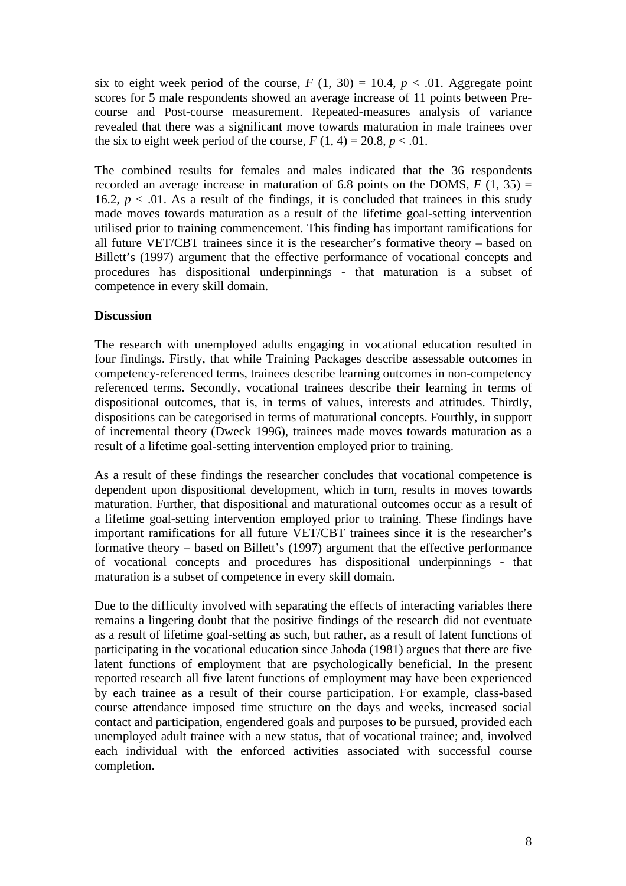six to eight week period of the course,  $F(1, 30) = 10.4$ ,  $p < .01$ . Aggregate point scores for 5 male respondents showed an average increase of 11 points between Precourse and Post-course measurement. Repeated-measures analysis of variance revealed that there was a significant move towards maturation in male trainees over the six to eight week period of the course,  $F(1, 4) = 20.8$ ,  $p < .01$ .

The combined results for females and males indicated that the 36 respondents recorded an average increase in maturation of 6.8 points on the DOMS,  $F(1, 35) =$ 16.2,  $p < 0.01$ . As a result of the findings, it is concluded that trainees in this study made moves towards maturation as a result of the lifetime goal-setting intervention utilised prior to training commencement. This finding has important ramifications for all future VET/CBT trainees since it is the researcher's formative theory – based on Billett's (1997) argument that the effective performance of vocational concepts and procedures has dispositional underpinnings - that maturation is a subset of competence in every skill domain.

# **Discussion**

The research with unemployed adults engaging in vocational education resulted in four findings. Firstly, that while Training Packages describe assessable outcomes in competency-referenced terms, trainees describe learning outcomes in non-competency referenced terms. Secondly, vocational trainees describe their learning in terms of dispositional outcomes, that is, in terms of values, interests and attitudes. Thirdly, dispositions can be categorised in terms of maturational concepts. Fourthly, in support of incremental theory (Dweck 1996), trainees made moves towards maturation as a result of a lifetime goal-setting intervention employed prior to training.

As a result of these findings the researcher concludes that vocational competence is dependent upon dispositional development, which in turn, results in moves towards maturation. Further, that dispositional and maturational outcomes occur as a result of a lifetime goal-setting intervention employed prior to training. These findings have important ramifications for all future VET/CBT trainees since it is the researcher's formative theory – based on Billett's (1997) argument that the effective performance of vocational concepts and procedures has dispositional underpinnings - that maturation is a subset of competence in every skill domain.

Due to the difficulty involved with separating the effects of interacting variables there remains a lingering doubt that the positive findings of the research did not eventuate as a result of lifetime goal-setting as such, but rather, as a result of latent functions of participating in the vocational education since Jahoda (1981) argues that there are five latent functions of employment that are psychologically beneficial. In the present reported research all five latent functions of employment may have been experienced by each trainee as a result of their course participation. For example, class-based course attendance imposed time structure on the days and weeks, increased social contact and participation, engendered goals and purposes to be pursued, provided each unemployed adult trainee with a new status, that of vocational trainee; and, involved each individual with the enforced activities associated with successful course completion.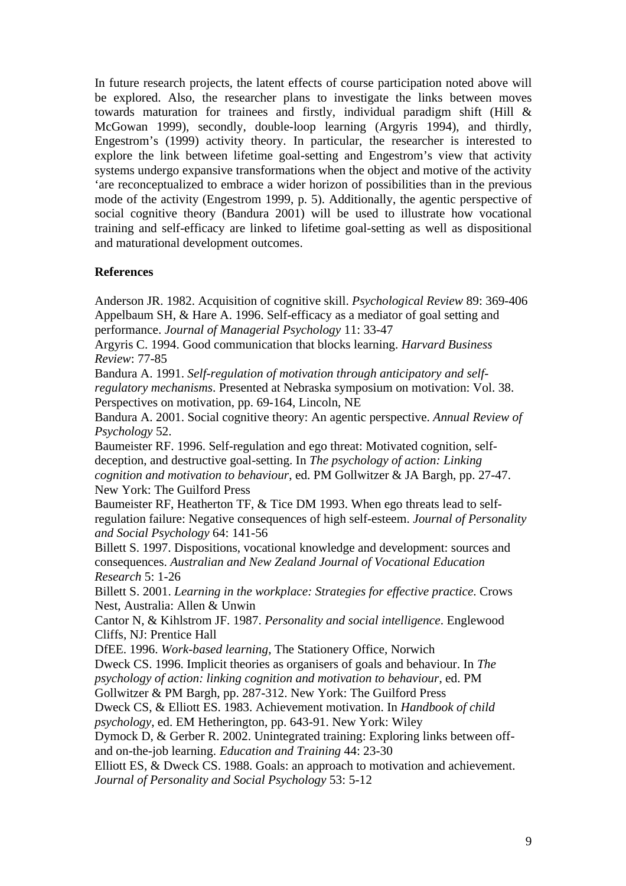In future research projects, the latent effects of course participation noted above will be explored. Also, the researcher plans to investigate the links between moves towards maturation for trainees and firstly, individual paradigm shift (Hill & McGowan 1999), secondly, double-loop learning (Argyris 1994), and thirdly, Engestrom's (1999) activity theory. In particular, the researcher is interested to explore the link between lifetime goal-setting and Engestrom's view that activity systems undergo expansive transformations when the object and motive of the activity 'are reconceptualized to embrace a wider horizon of possibilities than in the previous mode of the activity (Engestrom 1999, p. 5). Additionally, the agentic perspective of social cognitive theory (Bandura 2001) will be used to illustrate how vocational training and self-efficacy are linked to lifetime goal-setting as well as dispositional and maturational development outcomes.

### **References**

Anderson JR. 1982. Acquisition of cognitive skill. *Psychological Review* 89: 369-406 Appelbaum SH, & Hare A. 1996. Self-efficacy as a mediator of goal setting and performance. *Journal of Managerial Psychology* 11: 33-47

Argyris C. 1994. Good communication that blocks learning. *Harvard Business Review*: 77-85

Bandura A. 1991. *Self-regulation of motivation through anticipatory and selfregulatory mechanisms*. Presented at Nebraska symposium on motivation: Vol. 38. Perspectives on motivation, pp. 69-164, Lincoln, NE

Bandura A. 2001. Social cognitive theory: An agentic perspective. *Annual Review of Psychology* 52.

Baumeister RF. 1996. Self-regulation and ego threat: Motivated cognition, selfdeception, and destructive goal-setting. In *The psychology of action: Linking cognition and motivation to behaviour*, ed. PM Gollwitzer & JA Bargh, pp. 27-47. New York: The Guilford Press

Baumeister RF, Heatherton TF, & Tice DM 1993. When ego threats lead to selfregulation failure: Negative consequences of high self-esteem. *Journal of Personality and Social Psychology* 64: 141-56

Billett S. 1997. Dispositions, vocational knowledge and development: sources and consequences. *Australian and New Zealand Journal of Vocational Education Research* 5: 1-26

Billett S. 2001. *Learning in the workplace: Strategies for effective practice*. Crows Nest, Australia: Allen & Unwin

Cantor N, & Kihlstrom JF. 1987. *Personality and social intelligence*. Englewood Cliffs, NJ: Prentice Hall

DfEE. 1996. *Work-based learning*, The Stationery Office, Norwich Dweck CS. 1996. Implicit theories as organisers of goals and behaviour. In *The psychology of action: linking cognition and motivation to behaviour*, ed. PM

Gollwitzer & PM Bargh, pp. 287-312. New York: The Guilford Press

Dweck CS, & Elliott ES. 1983. Achievement motivation. In *Handbook of child psychology*, ed. EM Hetherington, pp. 643-91. New York: Wiley

Dymock D, & Gerber R. 2002. Unintegrated training: Exploring links between offand on-the-job learning. *Education and Training* 44: 23-30

Elliott ES, & Dweck CS. 1988. Goals: an approach to motivation and achievement. *Journal of Personality and Social Psychology* 53: 5-12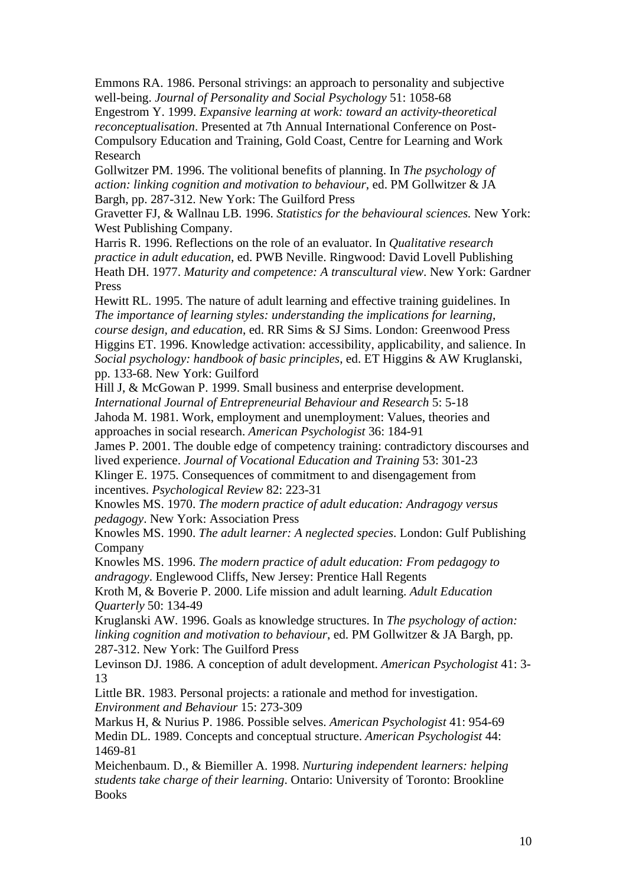Emmons RA. 1986. Personal strivings: an approach to personality and subjective well-being. *Journal of Personality and Social Psychology* 51: 1058-68

Engestrom Y. 1999. *Expansive learning at work: toward an activity-theoretical reconceptualisation*. Presented at 7th Annual International Conference on Post-Compulsory Education and Training, Gold Coast, Centre for Learning and Work Research

Gollwitzer PM. 1996. The volitional benefits of planning. In *The psychology of action: linking cognition and motivation to behaviour*, ed. PM Gollwitzer & JA Bargh, pp. 287-312. New York: The Guilford Press

Gravetter FJ, & Wallnau LB. 1996. *Statistics for the behavioural sciences.* New York: West Publishing Company.

Harris R. 1996. Reflections on the role of an evaluator. In *Qualitative research practice in adult education*, ed. PWB Neville. Ringwood: David Lovell Publishing Heath DH. 1977. *Maturity and competence: A transcultural view*. New York: Gardner Press

Hewitt RL. 1995. The nature of adult learning and effective training guidelines. In *The importance of learning styles: understanding the implications for learning, course design, and education*, ed. RR Sims & SJ Sims. London: Greenwood Press Higgins ET. 1996. Knowledge activation: accessibility, applicability, and salience. In *Social psychology: handbook of basic principles*, ed. ET Higgins & AW Kruglanski, pp. 133-68. New York: Guilford

Hill J, & McGowan P. 1999. Small business and enterprise development. *International Journal of Entrepreneurial Behaviour and Research* 5: 5-18 Jahoda M. 1981. Work, employment and unemployment: Values, theories and approaches in social research. *American Psychologist* 36: 184-91

James P. 2001. The double edge of competency training: contradictory discourses and lived experience. *Journal of Vocational Education and Training* 53: 301-23 Klinger E. 1975. Consequences of commitment to and disengagement from incentives. *Psychological Review* 82: 223-31

Knowles MS. 1970. *The modern practice of adult education: Andragogy versus pedagogy*. New York: Association Press

Knowles MS. 1990. *The adult learner: A neglected species*. London: Gulf Publishing Company

Knowles MS. 1996. *The modern practice of adult education: From pedagogy to andragogy*. Englewood Cliffs, New Jersey: Prentice Hall Regents

Kroth M, & Boverie P. 2000. Life mission and adult learning. *Adult Education Quarterly* 50: 134-49

Kruglanski AW. 1996. Goals as knowledge structures. In *The psychology of action: linking cognition and motivation to behaviour*, ed. PM Gollwitzer & JA Bargh, pp. 287-312. New York: The Guilford Press

Levinson DJ. 1986. A conception of adult development. *American Psychologist* 41: 3- 13

Little BR. 1983. Personal projects: a rationale and method for investigation. *Environment and Behaviour* 15: 273-309

Markus H, & Nurius P. 1986. Possible selves. *American Psychologist* 41: 954-69 Medin DL. 1989. Concepts and conceptual structure. *American Psychologist* 44: 1469-81

Meichenbaum. D., & Biemiller A. 1998. *Nurturing independent learners: helping students take charge of their learning*. Ontario: University of Toronto: Brookline Books